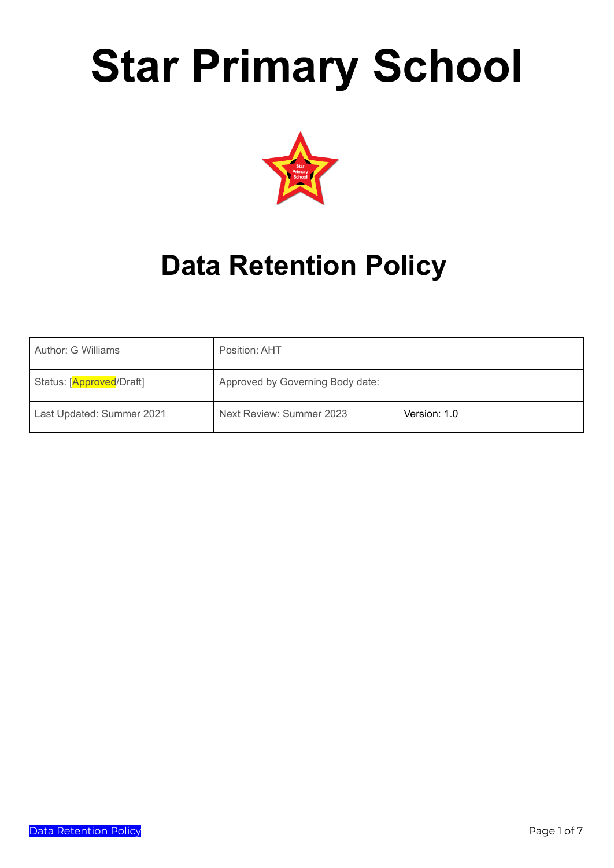# **Star Primary School**



## **Data Retention Policy**

| Author: G Williams        | Position: AHT                    |              |
|---------------------------|----------------------------------|--------------|
| Status: [Approved/Draft]  | Approved by Governing Body date: |              |
| Last Updated: Summer 2021 | Next Review: Summer 2023         | Version: 1.0 |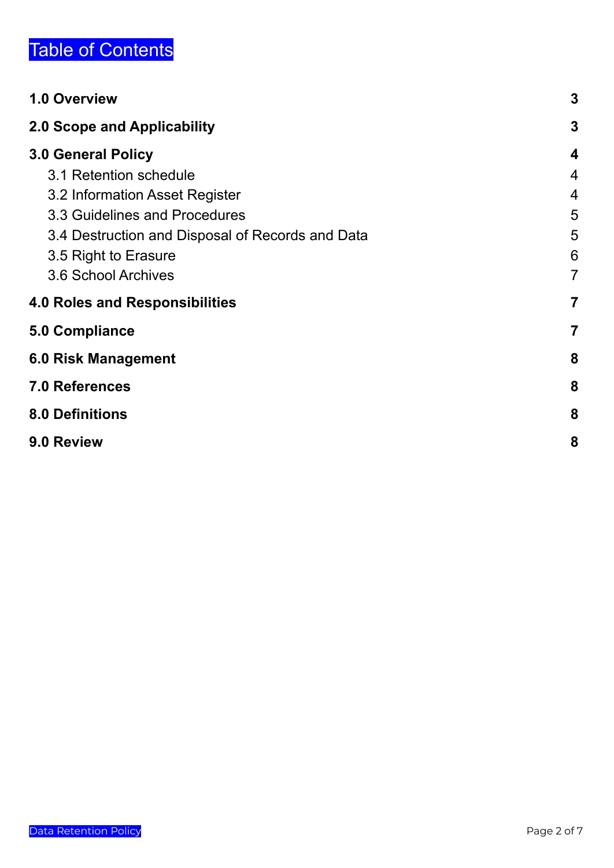## Table of Contents

| 1.0 Overview                                     | 3              |
|--------------------------------------------------|----------------|
| 2.0 Scope and Applicability                      | $\mathbf 3$    |
| <b>3.0 General Policy</b>                        | 4              |
| 3.1 Retention schedule                           | 4              |
| 3.2 Information Asset Register                   | 4              |
| 3.3 Guidelines and Procedures                    | 5              |
| 3.4 Destruction and Disposal of Records and Data | 5              |
| 3.5 Right to Erasure                             | 6              |
| 3.6 School Archives                              | $\overline{7}$ |
| <b>4.0 Roles and Responsibilities</b>            | $\overline{7}$ |
| <b>5.0 Compliance</b>                            | 7              |
| <b>6.0 Risk Management</b>                       | 8              |
| <b>7.0 References</b>                            | 8              |
| <b>8.0 Definitions</b>                           | 8              |
| 9.0 Review                                       | 8              |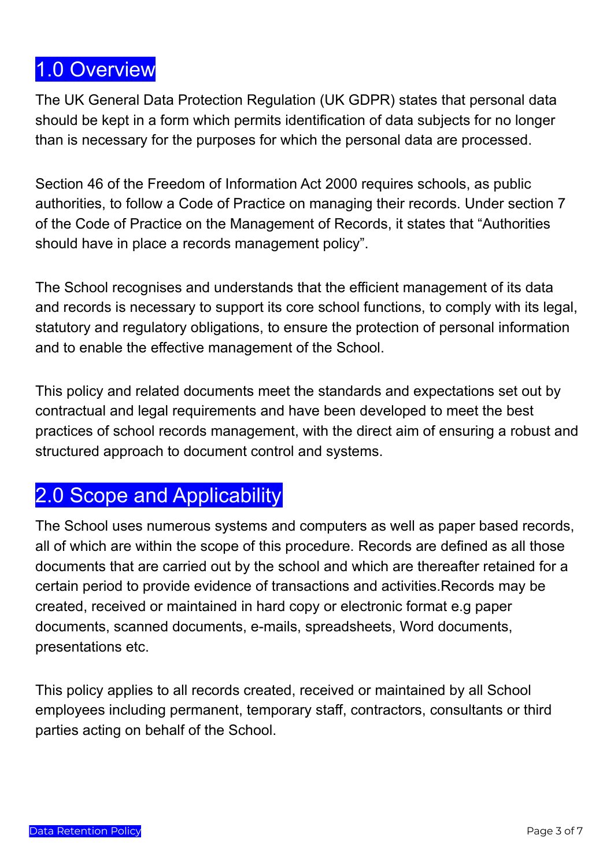## <span id="page-2-0"></span>1.0 Overview

The UK General Data Protection Regulation (UK GDPR) states that personal data should be kept in a form which permits identification of data subjects for no longer than is necessary for the purposes for which the personal data are processed.

Section 46 of the Freedom of Information Act 2000 requires schools, as public authorities, to follow a Code of Practice on managing their records. Under section 7 of the Code of Practice on the Management of Records, it states that "Authorities should have in place a records management policy".

The School recognises and understands that the efficient management of its data and records is necessary to support its core school functions, to comply with its legal, statutory and regulatory obligations, to ensure the protection of personal information and to enable the effective management of the School.

This policy and related documents meet the standards and expectations set out by contractual and legal requirements and have been developed to meet the best practices of school records management, with the direct aim of ensuring a robust and structured approach to document control and systems.

## <span id="page-2-1"></span>2.0 Scope and Applicability

The School uses numerous systems and computers as well as paper based records, all of which are within the scope of this procedure. Records are defined as all those documents that are carried out by the school and which are thereafter retained for a certain period to provide evidence of transactions and activities.Records may be created, received or maintained in hard copy or electronic format e.g paper documents, scanned documents, e-mails, spreadsheets, Word documents, presentations etc.

This policy applies to all records created, received or maintained by all School employees including permanent, temporary staff, contractors, consultants or third parties acting on behalf of the School.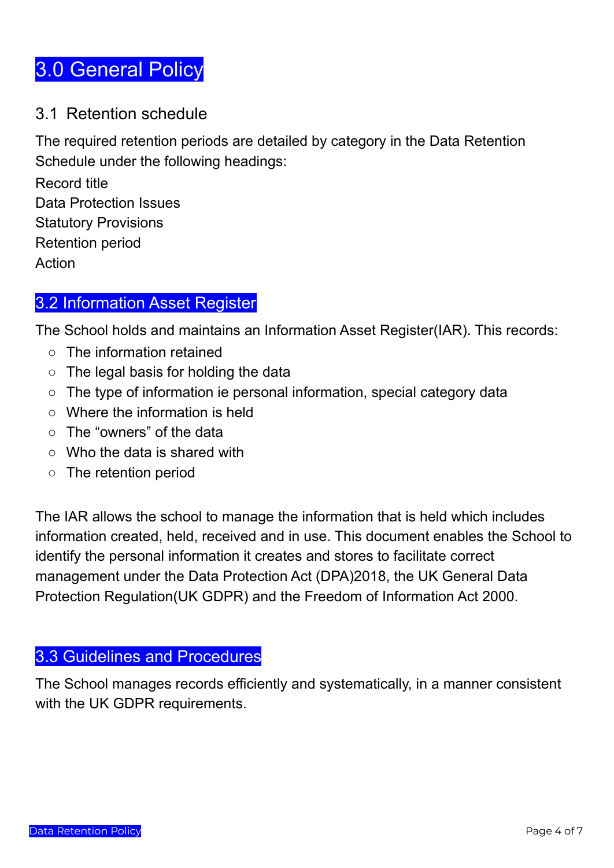## <span id="page-3-0"></span>3.0 General Policy

#### <span id="page-3-1"></span>3.1 Retention schedule

The required retention periods are detailed by category in the Data Retention Schedule under the following headings:

Record title Data Protection Issues Statutory Provisions Retention period Action

#### <span id="page-3-2"></span>3.2 Information Asset Register

The School holds and maintains an Information Asset Register(IAR). This records:

- The information retained
- The legal basis for holding the data
- The type of information ie personal information, special category data
- Where the information is held
- The "owners" of the data
- Who the data is shared with
- The retention period

The IAR allows the school to manage the information that is held which includes information created, held, received and in use. This document enables the School to identify the personal information it creates and stores to facilitate correct management under the Data Protection Act (DPA)2018, the UK General Data Protection Regulation(UK GDPR) and the Freedom of Information Act 2000.

#### <span id="page-3-3"></span>3.3 Guidelines and Procedures

The School manages records efficiently and systematically, in a manner consistent with the UK GDPR requirements.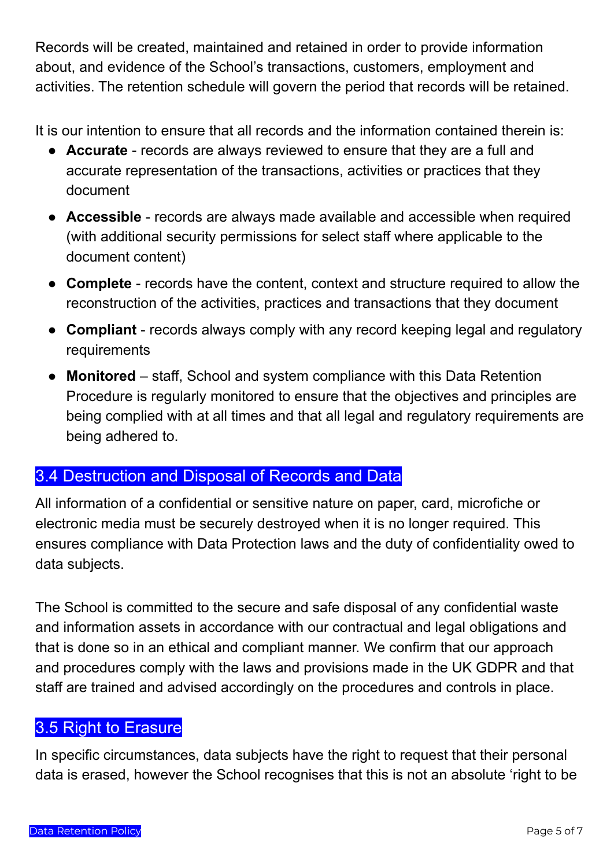Records will be created, maintained and retained in order to provide information about, and evidence of the School's transactions, customers, employment and activities. The retention schedule will govern the period that records will be retained.

It is our intention to ensure that all records and the information contained therein is:

- **Accurate** records are always reviewed to ensure that they are a full and accurate representation of the transactions, activities or practices that they document
- **Accessible** records are always made available and accessible when required (with additional security permissions for select staff where applicable to the document content)
- **Complete** records have the content, context and structure required to allow the reconstruction of the activities, practices and transactions that they document
- **Compliant** records always comply with any record keeping legal and regulatory requirements
- **Monitored** staff, School and system compliance with this Data Retention Procedure is regularly monitored to ensure that the objectives and principles are being complied with at all times and that all legal and regulatory requirements are being adhered to.

#### <span id="page-4-0"></span>3.4 Destruction and Disposal of Records and Data

All information of a confidential or sensitive nature on paper, card, microfiche or electronic media must be securely destroyed when it is no longer required. This ensures compliance with Data Protection laws and the duty of confidentiality owed to data subjects.

The School is committed to the secure and safe disposal of any confidential waste and information assets in accordance with our contractual and legal obligations and that is done so in an ethical and compliant manner. We confirm that our approach and procedures comply with the laws and provisions made in the UK GDPR and that staff are trained and advised accordingly on the procedures and controls in place.

#### <span id="page-4-1"></span>3.5 Right to Erasure

In specific circumstances, data subjects have the right to request that their personal data is erased, however the School recognises that this is not an absolute 'right to be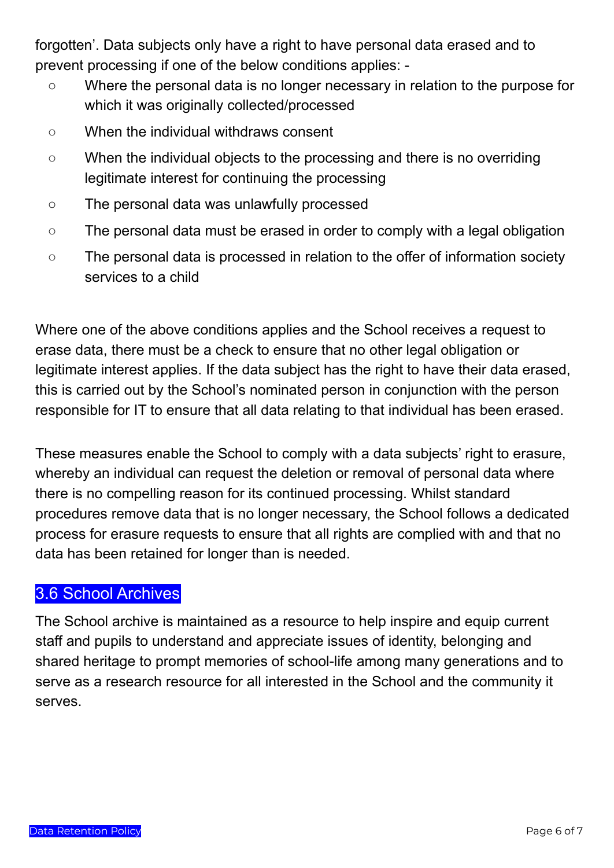forgotten'. Data subjects only have a right to have personal data erased and to prevent processing if one of the below conditions applies: -

- Where the personal data is no longer necessary in relation to the purpose for which it was originally collected/processed
- When the individual withdraws consent
- When the individual objects to the processing and there is no overriding legitimate interest for continuing the processing
- The personal data was unlawfully processed
- The personal data must be erased in order to comply with a legal obligation
- The personal data is processed in relation to the offer of information society services to a child

Where one of the above conditions applies and the School receives a request to erase data, there must be a check to ensure that no other legal obligation or legitimate interest applies. If the data subject has the right to have their data erased, this is carried out by the School's nominated person in conjunction with the person responsible for IT to ensure that all data relating to that individual has been erased.

These measures enable the School to comply with a data subjects' right to erasure, whereby an individual can request the deletion or removal of personal data where there is no compelling reason for its continued processing. Whilst standard procedures remove data that is no longer necessary, the School follows a dedicated process for erasure requests to ensure that all rights are complied with and that no data has been retained for longer than is needed.

#### <span id="page-5-0"></span>3.6 School Archives

The School archive is maintained as a resource to help inspire and equip current staff and pupils to understand and appreciate issues of identity, belonging and shared heritage to prompt memories of school-life among many generations and to serve as a research resource for all interested in the School and the community it serves.